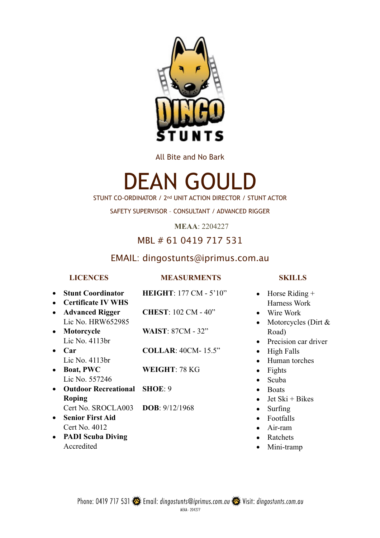

All Bite and No Bark

# DEAN GOULD

STUNT CO-ORDINATOR / 2nd UNIT ACTION DIRECTOR / STUNT ACTOR

SAFETY SUPERVISOR – CONSULTANT / ADVANCED RIGGER

**MEAA**: 2204227

# MBL # 61 0419 717 531

# EMAIL: dingostunts@iprimus.com.au

### **SKILLS**

- Horse Riding + Harness Work
	- Wire Work
	- Motorcycles (Dirt & Road)
	- Precision car driver
	- High Falls
	- Human torches
	- Fights
	- Scuba
	- Boats
	- Jet Ski + Bikes
	- Surfing
	- Footfalls
	- Air-ram
	- Ratchets
	- Mini-tramp
- **LICENCES**  • **Stunt Coordinator**  • **Certificate IV WHS**  • **Advanced Rigger**  Lic No. HRW652985 • **Motorcycle**  Lic No. 4113br • **Car**  Lic No. 4113br • **Boat, PWC**  Lic No. 557246 • **Outdoor Recreational SHOE**: 9 **Roping**  Cert No. SROCLA003 **DOB**: 9/12/1968 **MEASURMENTS HEIGHT**: 177 CM - 5'10" **CHEST**: 102 CM - 40" **WAIST**: 87CM - 32" **COLLAR**: 40CM- 15.5" **WEIGHT**: 78 KG
- **Senior First Aid** Cert No. 4012
- **PADI Scuba Diving**  Accredited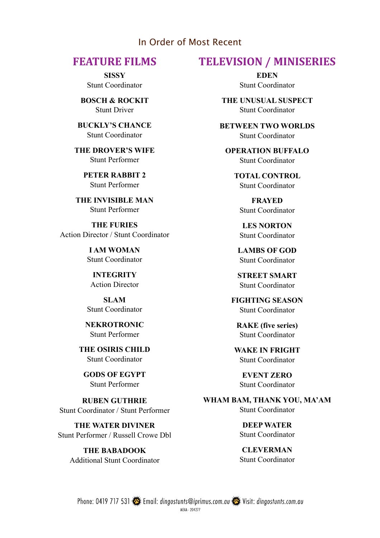### In Order of Most Recent

**SISSY**  Stunt Coordinator

**BOSCH & ROCKIT**  Stunt Driver

**BUCKLY'S CHANCE**  Stunt Coordinator

**THE DROVER'S WIFE**  Stunt Performer

> **PETER RABBIT 2**  Stunt Performer

**THE INVISIBLE MAN**  Stunt Performer

**THE FURIES**  Action Director / Stunt Coordinator

> **I AM WOMAN**  Stunt Coordinator

**INTEGRITY**  Action Director

**SLAM**  Stunt Coordinator

**NEKROTRONIC**  Stunt Performer

**THE OSIRIS CHILD**  Stunt Coordinator

**GODS OF EGYPT**  Stunt Performer

**RUBEN GUTHRIE**  Stunt Coordinator / Stunt Performer

**THE WATER DIVINER**  Stunt Performer / Russell Crowe Dbl

> **THE BABADOOK**  Additional Stunt Coordinator

# **FEATURE FILMS TELEVISION / MINISERIES**

**EDEN**  Stunt Coordinator

**THE UNUSUAL SUSPECT**  Stunt Coordinator

**BETWEEN TWO WORLDS**  Stunt Coordinator

**OPERATION BUFFALO**  Stunt Coordinator

> **TOTAL CONTROL**  Stunt Coordinator

**FRAYED**  Stunt Coordinator

**LES NORTON**  Stunt Coordinator

**LAMBS OF GOD**  Stunt Coordinator

**STREET SMART**  Stunt Coordinator

**FIGHTING SEASON**  Stunt Coordinator

**RAKE (five series)**  Stunt Coordinator

**WAKE IN FRIGHT**  Stunt Coordinator

**EVENT ZERO**  Stunt Coordinator

**WHAM BAM, THANK YOU, MA'AM**  Stunt Coordinator

> **DEEP WATER**  Stunt Coordinator

> **CLEVERMAN**  Stunt Coordinator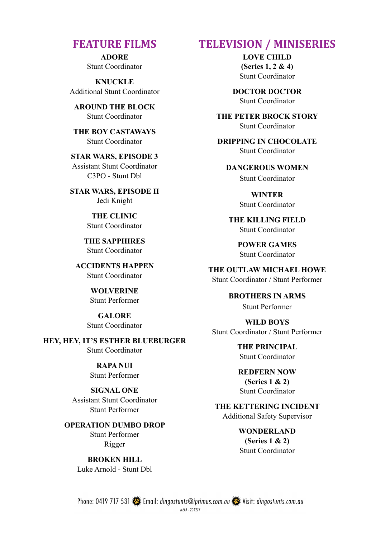**ADORE**  Stunt Coordinator

**KNUCKLE**  Additional Stunt Coordinator

**AROUND THE BLOCK**  Stunt Coordinator

**THE BOY CASTAWAYS**  Stunt Coordinator

**STAR WARS, EPISODE 3**  Assistant Stunt Coordinator C3PO - Stunt Dbl

**STAR WARS, EPISODE II**  Jedi Knight

> **THE CLINIC**  Stunt Coordinator

**THE SAPPHIRES**  Stunt Coordinator

**ACCIDENTS HAPPEN**  Stunt Coordinator

> **WOLVERINE**  Stunt Performer

**GALORE**  Stunt Coordinator

**HEY, HEY, IT'S ESTHER BLUEBURGER**  Stunt Coordinator

#### **RAPA NUI**

Stunt Performer

#### **SIGNAL ONE**

Assistant Stunt Coordinator Stunt Performer

#### **OPERATION DUMBO DROP**

Stunt Performer Rigger

**BROKEN HILL**  Luke Arnold - Stunt Dbl

### **FEATURE FILMS TELEVISION / MINISERIES**

**LOVE CHILD (Series 1, 2 & 4)** Stunt Coordinator

**DOCTOR DOCTOR**  Stunt Coordinator

**THE PETER BROCK STORY**  Stunt Coordinator

**DRIPPING IN CHOCOLATE**  Stunt Coordinator

**DANGEROUS WOMEN**  Stunt Coordinator

> **WINTER**  Stunt Coordinator

**THE KILLING FIELD**  Stunt Coordinator

> **POWER GAMES**  Stunt Coordinator

**THE OUTLAW MICHAEL HOWE**  Stunt Coordinator / Stunt Performer

> **BROTHERS IN ARMS**  Stunt Performer

**WILD BOYS**  Stunt Coordinator / Stunt Performer

> **THE PRINCIPAL**  Stunt Coordinator

**REDFERN NOW (Series 1 & 2)**  Stunt Coordinator

**THE KETTERING INCIDENT**  Additional Safety Supervisor

> **WONDERLAND (Series 1 & 2)**  Stunt Coordinator

Phone: 0419 717 531 Email: dingostunts@iprimus.com.au Wisit: dingostunts.com.au MFAA - 204277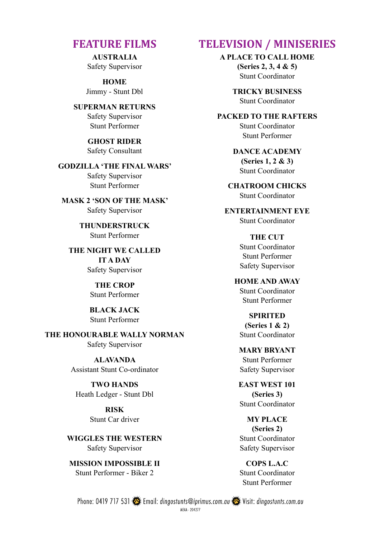**AUSTRALIA**  Safety Supervisor

**HOME**  Jimmy - Stunt Dbl

**SUPERMAN RETURNS** Safety Supervisor Stunt Performer

> **GHOST RIDER**  Safety Consultant

**GODZILLA 'THE FINAL WARS'**  Safety Supervisor Stunt Performer

**MASK 2 'SON OF THE MASK'**  Safety Supervisor

> **THUNDERSTRUCK** Stunt Performer

**THE NIGHT WE CALLED IT A DAY**  Safety Supervisor

> **THE CROP**  Stunt Performer

**BLACK JACK**  Stunt Performer

**THE HONOURABLE WALLY NORMAN**  Safety Supervisor

> **ALAVANDA**  Assistant Stunt Co-ordinator

**TWO HANDS** Heath Ledger - Stunt Dbl

> **RISK**  Stunt Car driver

**WIGGLES THE WESTERN**  Safety Supervisor

**MISSION IMPOSSIBLE II**  Stunt Performer - Biker 2

# **FEATURE FILMS TELEVISION / MINISERIES**

**A PLACE TO CALL HOME** 

**(Series 2, 3, 4 & 5)**  Stunt Coordinator

**TRICKY BUSINESS**  Stunt Coordinator

**PACKED TO THE RAFTERS**  Stunt Coordinator Stunt Performer

> **DANCE ACADEMY (Series 1, 2 & 3)**  Stunt Coordinator

**CHATROOM CHICKS**  Stunt Coordinator

**ENTERTAINMENT EYE** Stunt Coordinator

> **THE CUT** Stunt Coordinator Stunt Performer Safety Supervisor

**HOME AND AWAY**  Stunt Coordinator Stunt Performer

**SPIRITED (Series 1 & 2)**  Stunt Coordinator

**MARY BRYANT**  Stunt Performer Safety Supervisor

**EAST WEST 101 (Series 3)**  Stunt Coordinator

**MY PLACE (Series 2)**  Stunt Coordinator Safety Supervisor

**COPS L.A.C**  Stunt Coordinator Stunt Performer

Phone: 0419 717 531 Semail: dingostunts@iprimus.com.au Semi- Visit: dingostunts.com.au MEAA - 204277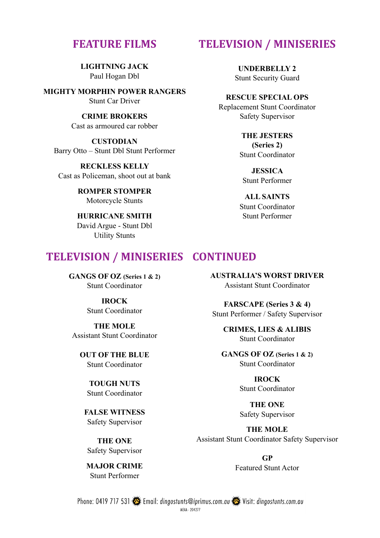**LIGHTNING JACK**  Paul Hogan Dbl

**MIGHTY MORPHIN POWER RANGERS**  Stunt Car Driver

> **CRIME BROKERS**  Cast as armoured car robber

**CUSTODIAN**  Barry Otto – Stunt Dbl Stunt Performer

**RECKLESS KELLY**  Cast as Policeman, shoot out at bank

> **ROMPER STOMPER**  Motorcycle Stunts

# **HURRICANE SMITH**

David Argue - Stunt Dbl Utility Stunts

# **TELEVISION / MINISERIES CONTINUED**

**GANGS OF OZ (Series 1 & 2)**  Stunt Coordinator

> **IROCK**  Stunt Coordinator

**THE MOLE**  Assistant Stunt Coordinator

**OUT OF THE BLUE**  Stunt Coordinator

> **TOUGH NUTS**  Stunt Coordinator

**FALSE WITNESS**  Safety Supervisor

**THE ONE**  Safety Supervisor

**MAJOR CRIME**  Stunt Performer

# **FEATURE FILMS TELEVISION / MINISERIES**

**UNDERBELLY 2**  Stunt Security Guard

**RESCUE SPECIAL OPS**  Replacement Stunt Coordinator Safety Supervisor

> **THE JESTERS (Series 2)**  Stunt Coordinator

**JESSICA**  Stunt Performer

**ALL SAINTS**  Stunt Coordinator Stunt Performer

**AUSTRALIA'S WORST DRIVER**  Assistant Stunt Coordinator

**FARSCAPE (Series 3 & 4)**  Stunt Performer / Safety Supervisor

> **CRIMES, LIES & ALIBIS**  Stunt Coordinator

**GANGS OF OZ (Series 1 & 2)**  Stunt Coordinator

> **IROCK**  Stunt Coordinator

> **THE ONE** Safety Supervisor

**THE MOLE**  Assistant Stunt Coordinator Safety Supervisor

> **GP**  Featured Stunt Actor

Phone: 0419 717 531 Email: dingostunts@iprimus.com.au Wisit: dingostunts.com.au MEAA - 204277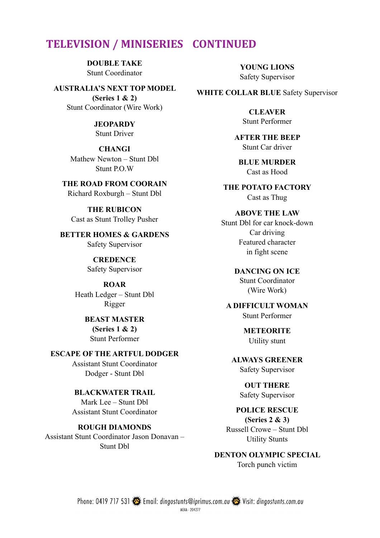# **TELEVISION / MINISERIES CONTINUED**

**DOUBLE TAKE** Stunt Coordinator

**AUSTRALIA'S NEXT TOP MODEL (Series 1 & 2)**  Stunt Coordinator (Wire Work)

> **JEOPARDY**  Stunt Driver

**CHANGI**  Mathew Newton – Stunt Dbl Stunt P.O.W

**THE ROAD FROM COORAIN**  Richard Roxburgh – Stunt Dbl

**THE RUBICON**  Cast as Stunt Trolley Pusher

**BETTER HOMES & GARDENS**  Safety Supervisor

> **CREDENCE**  Safety Supervisor

**ROAR**  Heath Ledger – Stunt Dbl Rigger

> **BEAST MASTER (Series 1 & 2)**  Stunt Performer

**ESCAPE OF THE ARTFUL DODGER** 

Assistant Stunt Coordinator Dodger - Stunt Dbl

**BLACKWATER TRAIL**  Mark Lee – Stunt Dbl Assistant Stunt Coordinator

**ROUGH DIAMONDS**  Assistant Stunt Coordinator Jason Donavan – Stunt Dbl

**YOUNG LIONS**  Safety Supervisor

**WHITE COLLAR BLUE** Safety Supervisor

**CLEAVER**  Stunt Performer

**AFTER THE BEEP**  Stunt Car driver

**BLUE MURDER**  Cast as Hood

**THE POTATO FACTORY**  Cast as Thug

**ABOVE THE LAW** 

Stunt Dbl for car knock-down Car driving Featured character in fight scene

**DANCING ON ICE** 

Stunt Coordinator (Wire Work)

**A DIFFICULT WOMAN**  Stunt Performer

> **METEORITE**  Utility stunt

**ALWAYS GREENER**  Safety Supervisor

> **OUT THERE** Safety Supervisor

**POLICE RESCUE (Series 2 & 3)** 

Russell Crowe – Stunt Dbl Utility Stunts

**DENTON OLYMPIC SPECIAL**  Torch punch victim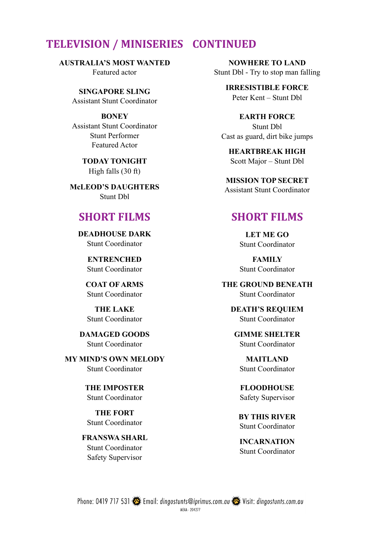# **TELEVISION / MINISERIES CONTINUED**

**AUSTRALIA'S MOST WANTED**  Featured actor

> **SINGAPORE SLING** Assistant Stunt Coordinator

> **BONEY**  Assistant Stunt Coordinator Stunt Performer Featured Actor

> > **TODAY TONIGHT**  High falls (30 ft)

**McLEOD'S DAUGHTERS**  Stunt Dbl

### **SHORT FILMS**

**DEADHOUSE DARK**  Stunt Coordinator

> **ENTRENCHED**  Stunt Coordinator

**COAT OF ARMS**  Stunt Coordinator

**THE LAKE**  Stunt Coordinator

**DAMAGED GOODS**  Stunt Coordinator

**MY MIND'S OWN MELODY**  Stunt Coordinator

> **THE IMPOSTER**  Stunt Coordinator

**THE FORT**  Stunt Coordinator

**FRANSWA SHARL**  Stunt Coordinator Safety Supervisor

**NOWHERE TO LAND**  Stunt Dbl - Try to stop man falling

> **IRRESISTIBLE FORCE**  Peter Kent – Stunt Dbl

**EARTH FORCE**  Stunt Dbl Cast as guard, dirt bike jumps

**HEARTBREAK HIGH**  Scott Major – Stunt Dbl

**MISSION TOP SECRET**  Assistant Stunt Coordinator

# **SHORT FILMS**

**LET ME GO**  Stunt Coordinator

**FAMILY**  Stunt Coordinator

**THE GROUND BENEATH**  Stunt Coordinator

> **DEATH'S REQUIEM**  Stunt Coordinator

**GIMME SHELTER**  Stunt Coordinator

**MAITLAND**  Stunt Coordinator

**FLOODHOUSE**  Safety Supervisor

**BY THIS RIVER**  Stunt Coordinator

**INCARNATION**  Stunt Coordinator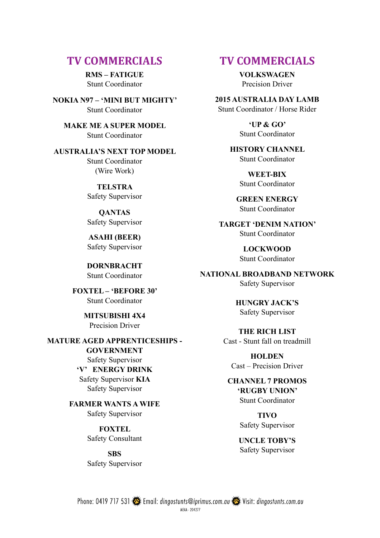# **TV COMMERCIALS TV COMMERCIALS**

**RMS – FATIGUE**  Stunt Coordinator

**NOKIA N97 – 'MINI BUT MIGHTY'**  Stunt Coordinator

**MAKE ME A SUPER MODEL**  Stunt Coordinator

### **AUSTRALIA'S NEXT TOP MODEL**

Stunt Coordinator (Wire Work)

**TELSTRA**  Safety Supervisor

**QANTAS**  Safety Supervisor

**ASAHI (BEER)**  Safety Supervisor

**DORNBRACHT**  Stunt Coordinator

**FOXTEL – 'BEFORE 30'**  Stunt Coordinator

> **MITSUBISHI 4X4**  Precision Driver

### **MATURE AGED APPRENTICESHIPS - GOVERNMENT**

Safety Supervisor **'V' ENERGY DRINK**  Safety Supervisor **KIA** 

Safety Supervisor

# **FARMER WANTS A WIFE**

Safety Supervisor

**FOXTEL**  Safety Consultant

**SBS** Safety Supervisor

**VOLKSWAGEN**  Precision Driver

**2015 AUSTRALIA DAY LAMB**  Stunt Coordinator / Horse Rider

> **'UP & GO'**  Stunt Coordinator

**HISTORY CHANNEL**  Stunt Coordinator

> **WEET-BIX**  Stunt Coordinator

**GREEN ENERGY**  Stunt Coordinator

**TARGET 'DENIM NATION'**  Stunt Coordinator

> **LOCKWOOD**  Stunt Coordinator

**NATIONAL BROADBAND NETWORK**  Safety Supervisor

> **HUNGRY JACK'S**  Safety Supervisor

#### **THE RICH LIST**

Cast - Stunt fall on treadmill

**HOLDEN**  Cast – Precision Driver

#### **CHANNEL 7 PROMOS 'RUGBY UNION'**  Stunt Coordinator

**TIVO**  Safety Supervisor

**UNCLE TOBY'S**  Safety Supervisor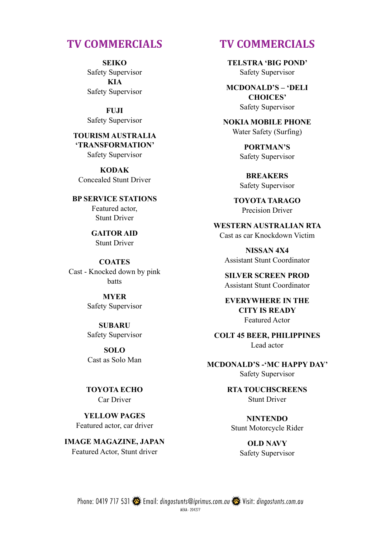**SEIKO**  Safety Supervisor **KIA**  Safety Supervisor

**FUJI**  Safety Supervisor

**TOURISM AUSTRALIA 'TRANSFORMATION'**  Safety Supervisor

**KODAK**  Concealed Stunt Driver

**BP SERVICE STATIONS**  Featured actor, Stunt Driver

> **GAITOR AID**  Stunt Driver

**COATES**  Cast - Knocked down by pink batts

> **MYER**  Safety Supervisor

> **SUBARU**  Safety Supervisor

> **SOLO**  Cast as Solo Man

**TOYOTA ECHO**  Car Driver

**YELLOW PAGES**  Featured actor, car driver

**IMAGE MAGAZINE, JAPAN**  Featured Actor, Stunt driver

# **TV COMMERCIALS TV COMMERCIALS**

**TELSTRA 'BIG POND'**  Safety Supervisor

**MCDONALD'S – 'DELI CHOICES'**  Safety Supervisor

**NOKIA MOBILE PHONE**  Water Safety (Surfing)

> **PORTMAN'S**  Safety Supervisor

**BREAKERS**  Safety Supervisor

**TOYOTA TARAGO**  Precision Driver

**WESTERN AUSTRALIAN RTA**  Cast as car Knockdown Victim

**NISSAN 4X4**  Assistant Stunt Coordinator

**SILVER SCREEN PROD**  Assistant Stunt Coordinator

**EVERYWHERE IN THE CITY IS READY**  Featured Actor

**COLT 45 BEER, PHILIPPINES**  Lead actor

**MCDONALD'S -'MC HAPPY DAY'**  Safety Supervisor

> **RTA TOUCHSCREENS**  Stunt Driver

**NINTENDO**  Stunt Motorcycle Rider

**OLD NAVY**  Safety Supervisor

Phone: 0419 717 531 Semail: dingostunts@iprimus.com.au Semi- Visit: dingostunts.com.au MEAA - 204277